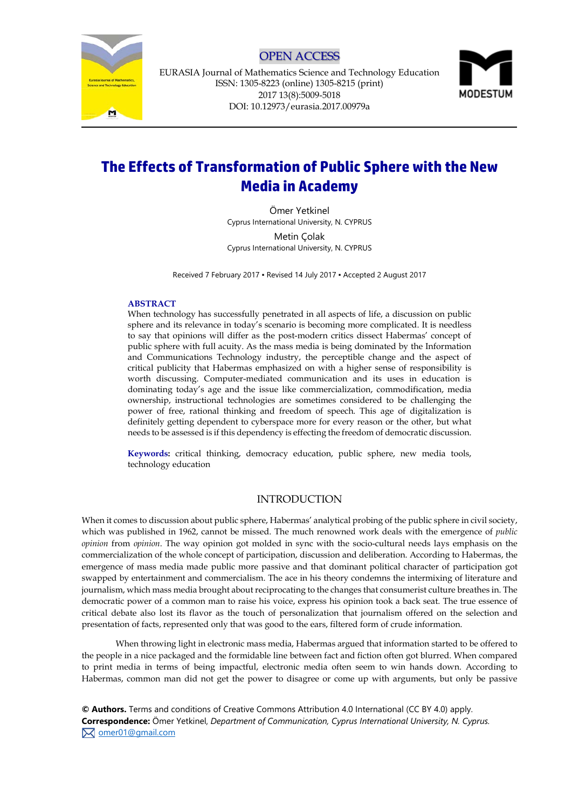

### OPEN ACCESS

EURASIA Journal of Mathematics Science and Technology Education ISSN: 1305-8223 (online) 1305-8215 (print) 2017 13(8[\):5009](#page-0-0)[-5018](#page-9-0) DOI: 10.12973/eurasia.2017.00979a



# **The Effects of Transformation of Public Sphere with the New Media in Academy**

Ömer Yetkinel Cyprus International University, N. CYPRUS Metin Çolak Cyprus International University, N. CYPRUS

Received 7 February 2017 ▪ Revised 14 July 2017 ▪ Accepted 2 August 2017

#### <span id="page-0-0"></span>**ABSTRACT**

When technology has successfully penetrated in all aspects of life, a discussion on public sphere and its relevance in today's scenario is becoming more complicated. It is needless to say that opinions will differ as the post-modern critics dissect Habermas' concept of public sphere with full acuity. As the mass media is being dominated by the Information and Communications Technology industry, the perceptible change and the aspect of critical publicity that Habermas emphasized on with a higher sense of responsibility is worth discussing. Computer-mediated communication and its uses in education is dominating today's age and the issue like commercialization, commodification, media ownership, instructional technologies are sometimes considered to be challenging the power of free, rational thinking and freedom of speech. This age of digitalization is definitely getting dependent to cyberspace more for every reason or the other, but what needs to be assessed is if this dependency is effecting the freedom of democratic discussion.

**Keywords:** critical thinking, democracy education, public sphere, new media tools, technology education

### INTRODUCTION

When it comes to discussion about public sphere, Habermas' analytical probing of the public sphere in civil society, which was published in 1962, cannot be missed. The much renowned work deals with the emergence of *public opinion* from *opinion*. The way opinion got molded in sync with the socio-cultural needs lays emphasis on the commercialization of the whole concept of participation, discussion and deliberation. According to Habermas, the emergence of mass media made public more passive and that dominant political character of participation got swapped by entertainment and commercialism. The ace in his theory condemns the intermixing of literature and journalism, which mass media brought about reciprocating to the changes that consumerist culture breathes in. The democratic power of a common man to raise his voice, express his opinion took a back seat. The true essence of critical debate also lost its flavor as the touch of personalization that journalism offered on the selection and presentation of facts, represented only that was good to the ears, filtered form of crude information.

When throwing light in electronic mass media, Habermas argued that information started to be offered to the people in a nice packaged and the formidable line between fact and fiction often got blurred. When compared to print media in terms of being impactful, electronic media often seem to win hands down. According to Habermas, common man did not get the power to disagree or come up with arguments, but only be passive

**© Authors.** Terms and conditions of Creative Commons Attribution 4.0 International (CC BY 4.0) apply. **Correspondence:** Ömer Yetkinel, *Department of Communication, Cyprus International University, N. Cyprus.* M [omer01@gmail.com](mailto:omer01@gmail.com)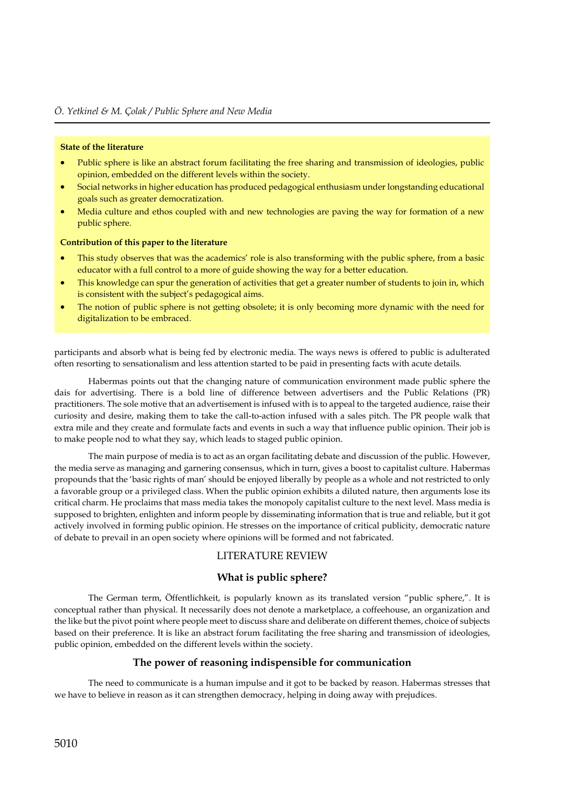### *Ö. Yetkinel & M. Çolak / Public Sphere and New Media*

#### **State of the literature**

- Public sphere is like an abstract forum facilitating the free sharing and transmission of ideologies, public opinion, embedded on the different levels within the society.
- Social networks in higher education has produced pedagogical enthusiasm under longstanding educational goals such as greater democratization.
- Media culture and ethos coupled with and new technologies are paving the way for formation of a new public sphere.

#### **Contribution of this paper to the literature**

- This study observes that was the academics' role is also transforming with the public sphere, from a basic educator with a full control to a more of guide showing the way for a better education.
- This knowledge can spur the generation of activities that get a greater number of students to join in, which is consistent with the subject's pedagogical aims.
- The notion of public sphere is not getting obsolete; it is only becoming more dynamic with the need for digitalization to be embraced.

participants and absorb what is being fed by electronic media. The ways news is offered to public is adulterated often resorting to sensationalism and less attention started to be paid in presenting facts with acute details.

Habermas points out that the changing nature of communication environment made public sphere the dais for advertising. There is a bold line of difference between advertisers and the Public Relations (PR) practitioners. The sole motive that an advertisement is infused with is to appeal to the targeted audience, raise their curiosity and desire, making them to take the call-to-action infused with a sales pitch. The PR people walk that extra mile and they create and formulate facts and events in such a way that influence public opinion. Their job is to make people nod to what they say, which leads to staged public opinion.

The main purpose of media is to act as an organ facilitating debate and discussion of the public. However, the media serve as managing and garnering consensus, which in turn, gives a boost to capitalist culture. Habermas propounds that the 'basic rights of man' should be enjoyed liberally by people as a whole and not restricted to only a favorable group or a privileged class. When the public opinion exhibits a diluted nature, then arguments lose its critical charm. He proclaims that mass media takes the monopoly capitalist culture to the next level. Mass media is supposed to brighten, enlighten and inform people by disseminating information that is true and reliable, but it got actively involved in forming public opinion. He stresses on the importance of critical publicity, democratic nature of debate to prevail in an open society where opinions will be formed and not fabricated.

### LITERATURE REVIEW

### **What is public sphere?**

The German term, Öffentlichkeit, is popularly known as its translated version "public sphere,". It is conceptual rather than physical. It necessarily does not denote a marketplace, a coffeehouse, an organization and the like but the pivot point where people meet to discuss share and deliberate on different themes, choice of subjects based on their preference. It is like an abstract forum facilitating the free sharing and transmission of ideologies, public opinion, embedded on the different levels within the society.

### **The power of reasoning indispensible for communication**

The need to communicate is a human impulse and it got to be backed by reason. Habermas stresses that we have to believe in reason as it can strengthen democracy, helping in doing away with prejudices.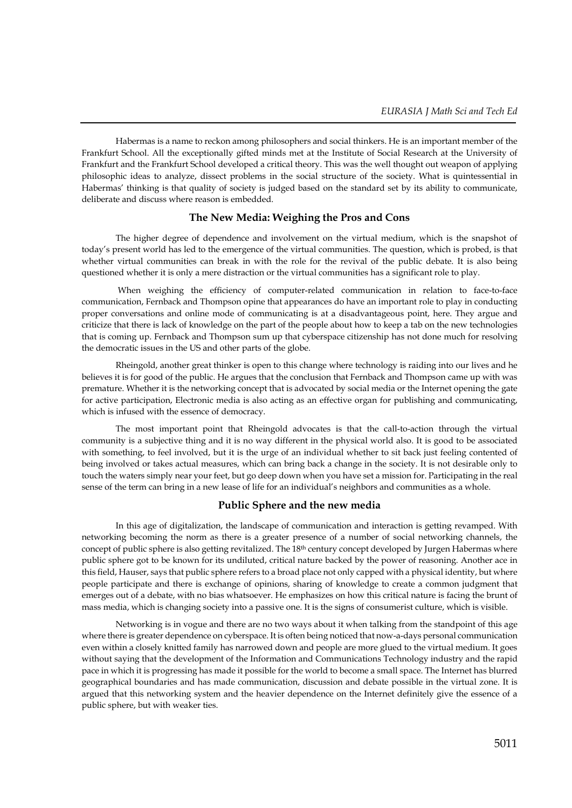Habermas is a name to reckon among philosophers and social thinkers. He is an important member of the Frankfurt School. All the exceptionally gifted minds met at the Institute of Social Research at the University of Frankfurt and the Frankfurt School developed a critical theory. This was the well thought out weapon of applying philosophic ideas to analyze, dissect problems in the social structure of the society. What is quintessential in Habermas' thinking is that quality of society is judged based on the standard set by its ability to communicate, deliberate and discuss where reason is embedded.

### **The New Media: Weighing the Pros and Cons**

The higher degree of dependence and involvement on the virtual medium, which is the snapshot of today's present world has led to the emergence of the virtual communities. The question, which is probed, is that whether virtual communities can break in with the role for the revival of the public debate. It is also being questioned whether it is only a mere distraction or the virtual communities has a significant role to play.

When weighing the efficiency of computer-related communication in relation to face-to-face communication, Fernback and Thompson opine that appearances do have an important role to play in conducting proper conversations and online mode of communicating is at a disadvantageous point, here. They argue and criticize that there is lack of knowledge on the part of the people about how to keep a tab on the new technologies that is coming up. Fernback and Thompson sum up that cyberspace citizenship has not done much for resolving the democratic issues in the US and other parts of the globe.

Rheingold, another great thinker is open to this change where technology is raiding into our lives and he believes it is for good of the public. He argues that the conclusion that Fernback and Thompson came up with was premature. Whether it is the networking concept that is advocated by social media or the Internet opening the gate for active participation, Electronic media is also acting as an effective organ for publishing and communicating, which is infused with the essence of democracy.

The most important point that Rheingold advocates is that the call-to-action through the virtual community is a subjective thing and it is no way different in the physical world also. It is good to be associated with something, to feel involved, but it is the urge of an individual whether to sit back just feeling contented of being involved or takes actual measures, which can bring back a change in the society. It is not desirable only to touch the waters simply near your feet, but go deep down when you have set a mission for. Participating in the real sense of the term can bring in a new lease of life for an individual's neighbors and communities as a whole.

### **Public Sphere and the new media**

In this age of digitalization, the landscape of communication and interaction is getting revamped. With networking becoming the norm as there is a greater presence of a number of social networking channels, the concept of public sphere is also getting revitalized. The 18th century concept developed by Jurgen Habermas where public sphere got to be known for its undiluted, critical nature backed by the power of reasoning. Another ace in this field, Hauser, says that public sphere refers to a broad place not only capped with a physical identity, but where people participate and there is exchange of opinions, sharing of knowledge to create a common judgment that emerges out of a debate, with no bias whatsoever. He emphasizes on how this critical nature is facing the brunt of mass media, which is changing society into a passive one. It is the signs of consumerist culture, which is visible.

Networking is in vogue and there are no two ways about it when talking from the standpoint of this age where there is greater dependence on cyberspace. It is often being noticed that now-a-days personal communication even within a closely knitted family has narrowed down and people are more glued to the virtual medium. It goes without saying that the development of the Information and Communications Technology industry and the rapid pace in which it is progressing has made it possible for the world to become a small space. The Internet has blurred geographical boundaries and has made communication, discussion and debate possible in the virtual zone. It is argued that this networking system and the heavier dependence on the Internet definitely give the essence of a public sphere, but with weaker ties.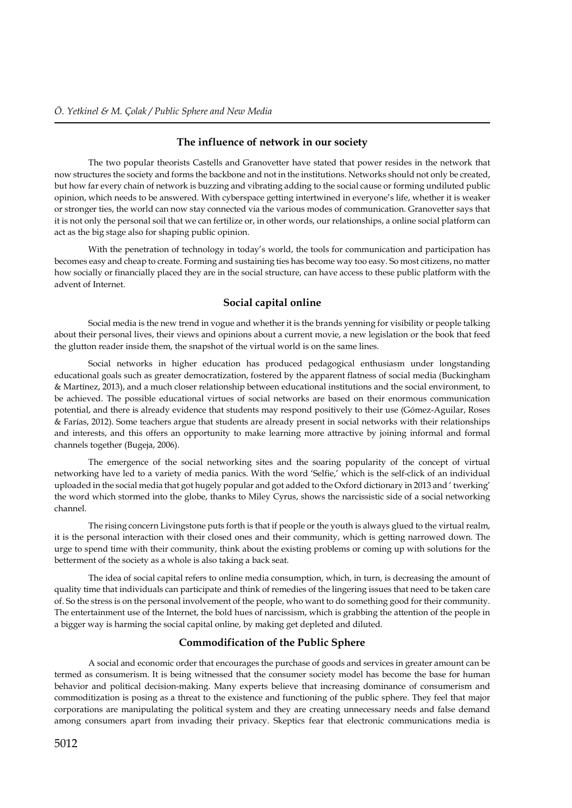#### **The influence of network in our society**

The two popular theorists Castells and Granovetter have stated that power resides in the network that now structures the society and forms the backbone and not in the institutions. Networks should not only be created, but how far every chain of network is buzzing and vibrating adding to the social cause or forming undiluted public opinion, which needs to be answered. With cyberspace getting intertwined in everyone's life, whether it is weaker or stronger ties, the world can now stay connected via the various modes of communication. Granovetter says that it is not only the personal soil that we can fertilize or, in other words, our relationships, a online social platform can act as the big stage also for shaping public opinion.

With the penetration of technology in today's world, the tools for communication and participation has becomes easy and cheap to create. Forming and sustaining ties has become way too easy. So most citizens, no matter how socially or financially placed they are in the social structure, can have access to these public platform with the advent of Internet.

### **Social capital online**

Social media is the new trend in vogue and whether it is the brands yenning for visibility or people talking about their personal lives, their views and opinions about a current movie, a new legislation or the book that feed the glutton reader inside them, the snapshot of the virtual world is on the same lines.

Social networks in higher education has produced pedagogical enthusiasm under longstanding educational goals such as greater democratization, fostered by the apparent flatness of social media (Buckingham & Martínez, 2013), and a much closer relationship between educational institutions and the social environment, to be achieved. The possible educational virtues of social networks are based on their enormous communication potential, and there is already evidence that students may respond positively to their use (Gómez-Aguilar, Roses & Farías, 2012). Some teachers argue that students are already present in social networks with their relationships and interests, and this offers an opportunity to make learning more attractive by joining informal and formal channels together (Bugeja, 2006).

The emergence of the social networking sites and the soaring popularity of the concept of virtual networking have led to a variety of media panics. With the word 'Selfie,' which is the self-click of an individual uploaded in the social media that got hugely popular and got added to the Oxford dictionary in 2013 and ' twerking' the word which stormed into the globe, thanks to Miley Cyrus, shows the narcissistic side of a social networking channel.

The rising concern Livingstone puts forth is that if people or the youth is always glued to the virtual realm, it is the personal interaction with their closed ones and their community, which is getting narrowed down. The urge to spend time with their community, think about the existing problems or coming up with solutions for the betterment of the society as a whole is also taking a back seat.

The idea of social capital refers to online media consumption, which, in turn, is decreasing the amount of quality time that individuals can participate and think of remedies of the lingering issues that need to be taken care of. So the stress is on the personal involvement of the people, who want to do something good for their community. The entertainment use of the Internet, the bold hues of narcissism, which is grabbing the attention of the people in a bigger way is harming the social capital online, by making get depleted and diluted.

### **Commodification of the Public Sphere**

A social and economic order that encourages the purchase of goods and services in greater amount can be termed as consumerism. It is being witnessed that the consumer society model has become the base for human behavior and political decision-making. Many experts believe that increasing dominance of consumerism and commoditization is posing as a threat to the existence and functioning of the public sphere. They feel that major corporations are manipulating the political system and they are creating unnecessary needs and false demand among consumers apart from invading their privacy. Skeptics fear that electronic communications media is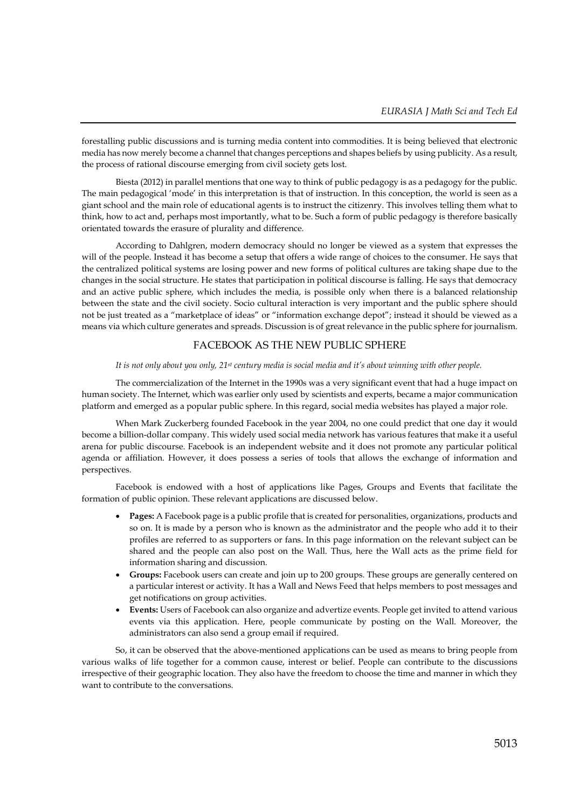forestalling public discussions and is turning media content into commodities. It is being believed that electronic media has now merely become a channel that changes perceptions and shapes beliefs by using publicity. As a result, the process of rational discourse emerging from civil society gets lost.

Biesta (2012) in parallel mentions that one way to think of public pedagogy is as a pedagogy for the public. The main pedagogical 'mode' in this interpretation is that of instruction. In this conception, the world is seen as a giant school and the main role of educational agents is to instruct the citizenry. This involves telling them what to think, how to act and, perhaps most importantly, what to be. Such a form of public pedagogy is therefore basically orientated towards the erasure of plurality and difference.

According to Dahlgren, modern democracy should no longer be viewed as a system that expresses the will of the people. Instead it has become a setup that offers a wide range of choices to the consumer. He says that the centralized political systems are losing power and new forms of political cultures are taking shape due to the changes in the social structure. He states that participation in political discourse is falling. He says that democracy and an active public sphere, which includes the media, is possible only when there is a balanced relationship between the state and the civil society. Socio cultural interaction is very important and the public sphere should not be just treated as a "marketplace of ideas" or "information exchange depot"; instead it should be viewed as a means via which culture generates and spreads. Discussion is of great relevance in the public sphere for journalism.

### FACEBOOK AS THE NEW PUBLIC SPHERE

#### *It is not only about you only, 21st century media is social media and it's about winning with other people.*

The commercialization of the Internet in the 1990s was a very significant event that had a huge impact on human society. The Internet, which was earlier only used by scientists and experts, became a major communication platform and emerged as a popular public sphere. In this regard, social media websites has played a major role.

When Mark Zuckerberg founded Facebook in the year 2004, no one could predict that one day it would become a billion-dollar company. This widely used social media network has various features that make it a useful arena for public discourse. Facebook is an independent website and it does not promote any particular political agenda or affiliation. However, it does possess a series of tools that allows the exchange of information and perspectives.

Facebook is endowed with a host of applications like Pages, Groups and Events that facilitate the formation of public opinion. These relevant applications are discussed below.

- **Pages:** A Facebook page is a public profile that is created for personalities, organizations, products and so on. It is made by a person who is known as the administrator and the people who add it to their profiles are referred to as supporters or fans. In this page information on the relevant subject can be shared and the people can also post on the Wall. Thus, here the Wall acts as the prime field for information sharing and discussion.
- **Groups:** Facebook users can create and join up to 200 groups. These groups are generally centered on a particular interest or activity. It has a Wall and News Feed that helps members to post messages and get notifications on group activities.
- **Events:** Users of Facebook can also organize and advertize events. People get invited to attend various events via this application. Here, people communicate by posting on the Wall. Moreover, the administrators can also send a group email if required.

So, it can be observed that the above-mentioned applications can be used as means to bring people from various walks of life together for a common cause, interest or belief. People can contribute to the discussions irrespective of their geographic location. They also have the freedom to choose the time and manner in which they want to contribute to the conversations.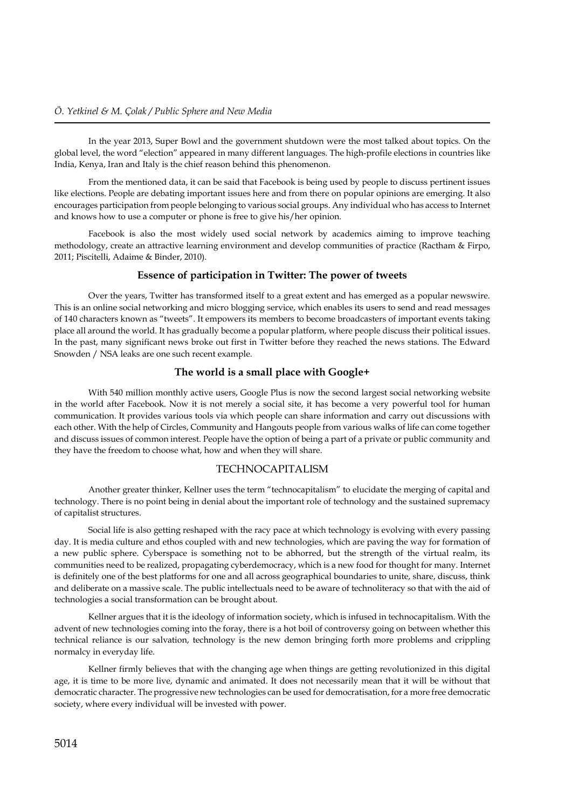In the year 2013, Super Bowl and the government shutdown were the most talked about topics. On the global level, the word "election" appeared in many different languages. The high-profile elections in countries like India, Kenya, Iran and Italy is the chief reason behind this phenomenon.

From the mentioned data, it can be said that Facebook is being used by people to discuss pertinent issues like elections. People are debating important issues here and from there on popular opinions are emerging. It also encourages participation from people belonging to various social groups. Any individual who has access to Internet and knows how to use a computer or phone is free to give his/her opinion.

Facebook is also the most widely used social network by academics aiming to improve teaching methodology, create an attractive learning environment and develop communities of practice (Ractham & Firpo, 2011; Piscitelli, Adaime & Binder, 2010).

#### **Essence of participation in Twitter: The power of tweets**

Over the years, Twitter has transformed itself to a great extent and has emerged as a popular newswire. This is an online social networking and micro blogging service, which enables its users to send and read messages of 140 characters known as "tweets". It empowers its members to become broadcasters of important events taking place all around the world. It has gradually become a popular platform, where people discuss their political issues. In the past, many significant news broke out first in Twitter before they reached the news stations. The Edward Snowden / NSA leaks are one such recent example.

### **The world is a small place with Google+**

With 540 million monthly active users, Google Plus is now the second largest social networking website in the world after Facebook. Now it is not merely a social site, it has become a very powerful tool for human communication. It provides various tools via which people can share information and carry out discussions with each other. With the help of Circles, Community and Hangouts people from various walks of life can come together and discuss issues of common interest. People have the option of being a part of a private or public community and they have the freedom to choose what, how and when they will share.

#### TECHNOCAPITALISM

Another greater thinker, Kellner uses the term "technocapitalism" to elucidate the merging of capital and technology. There is no point being in denial about the important role of technology and the sustained supremacy of capitalist structures.

Social life is also getting reshaped with the racy pace at which technology is evolving with every passing day. It is media culture and ethos coupled with and new technologies, which are paving the way for formation of a new public sphere. Cyberspace is something not to be abhorred, but the strength of the virtual realm, its communities need to be realized, propagating cyberdemocracy, which is a new food for thought for many. Internet is definitely one of the best platforms for one and all across geographical boundaries to unite, share, discuss, think and deliberate on a massive scale. The public intellectuals need to be aware of technoliteracy so that with the aid of technologies a social transformation can be brought about.

Kellner argues that it is the ideology of information society, which is infused in technocapitalism. With the advent of new technologies coming into the foray, there is a hot boil of controversy going on between whether this technical reliance is our salvation, technology is the new demon bringing forth more problems and crippling normalcy in everyday life.

Kellner firmly believes that with the changing age when things are getting revolutionized in this digital age, it is time to be more live, dynamic and animated. It does not necessarily mean that it will be without that democratic character. The progressive new technologies can be used for democratisation, for a more free democratic society, where every individual will be invested with power.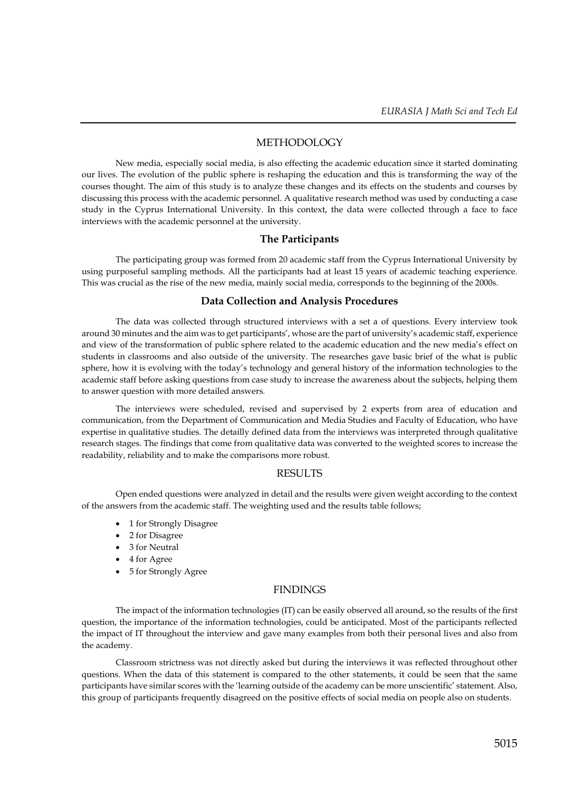### METHODOLOGY

New media, especially social media, is also effecting the academic education since it started dominating our lives. The evolution of the public sphere is reshaping the education and this is transforming the way of the courses thought. The aim of this study is to analyze these changes and its effects on the students and courses by discussing this process with the academic personnel. A qualitative research method was used by conducting a case study in the Cyprus International University. In this context, the data were collected through a face to face interviews with the academic personnel at the university.

### **The Participants**

The participating group was formed from 20 academic staff from the Cyprus International University by using purposeful sampling methods. All the participants had at least 15 years of academic teaching experience. This was crucial as the rise of the new media, mainly social media, corresponds to the beginning of the 2000s.

### **Data Collection and Analysis Procedures**

The data was collected through structured interviews with a set a of questions. Every interview took around 30 minutes and the aim was to get participants', whose are the part of university's academic staff, experience and view of the transformation of public sphere related to the academic education and the new media's effect on students in classrooms and also outside of the university. The researches gave basic brief of the what is public sphere, how it is evolving with the today's technology and general history of the information technologies to the academic staff before asking questions from case study to increase the awareness about the subjects, helping them to answer question with more detailed answers.

The interviews were scheduled, revised and supervised by 2 experts from area of education and communication, from the Department of Communication and Media Studies and Faculty of Education, who have expertise in qualitative studies. The detailly defined data from the interviews was interpreted through qualitative research stages. The findings that come from qualitative data was converted to the weighted scores to increase the readability, reliability and to make the comparisons more robust.

### RESULTS

Open ended questions were analyzed in detail and the results were given weight according to the context of the answers from the academic staff. The weighting used and the results table follows;

- 1 for Strongly Disagree
- 2 for Disagree
- 3 for Neutral
- 4 for Agree
- 5 for Strongly Agree

#### FINDINGS

The impact of the information technologies (IT) can be easily observed all around, so the results of the first question, the importance of the information technologies, could be anticipated. Most of the participants reflected the impact of IT throughout the interview and gave many examples from both their personal lives and also from the academy.

Classroom strictness was not directly asked but during the interviews it was reflected throughout other questions. When the data of this statement is compared to the other statements, it could be seen that the same participants have similar scores with the 'learning outside of the academy can be more unscientific' statement. Also, this group of participants frequently disagreed on the positive effects of social media on people also on students.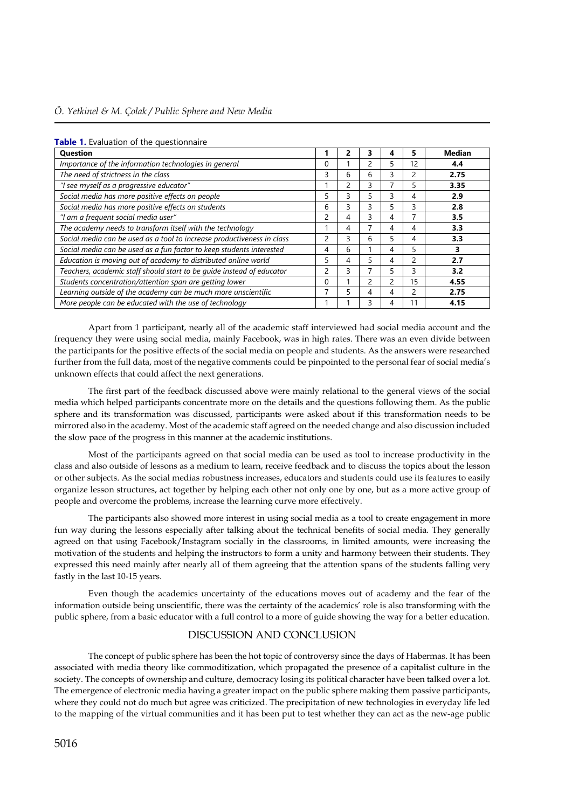### *Ö. Yetkinel & M. Çolak / Public Sphere and New Media*

| <b>Question</b>                                                        |          | 2 | 3 | 4             | 5.            | Median |
|------------------------------------------------------------------------|----------|---|---|---------------|---------------|--------|
| Importance of the information technologies in general                  | 0        |   | 2 | 5             | 12            | 4.4    |
| The need of strictness in the class                                    | 3        | 6 | 6 | 3             | $\mathcal{P}$ | 2.75   |
| "I see myself as a progressive educator"                               |          | 2 | 3 |               | 5             | 3.35   |
| Social media has more positive effects on people                       | 5        | 3 | 5 | 3             | 4             | 2.9    |
| Social media has more positive effects on students                     | 6        | 3 | 3 | 5             | 3             | 2.8    |
| "I am a frequent social media user"                                    | 2        | 4 | 3 | 4             | 7             | 3.5    |
| The academy needs to transform itself with the technology              |          | 4 | 7 | 4             | 4             | 3.3    |
| Social media can be used as a tool to increase productiveness in class | 2        | 3 | 6 | 5             | 4             | 3.3    |
| Social media can be used as a fun factor to keep students interested   | 4        | 6 |   | 4             | 5             | 3      |
| Education is moving out of academy to distributed online world         | 5        | 4 | 5 | 4             | $\mathcal{P}$ | 2.7    |
| Teachers, academic staff should start to be quide instead of educator  | 2        | 3 | 7 | 5.            | 3             | 3.2    |
| Students concentration/attention span are getting lower                | $\Omega$ |   | 2 | $\mathcal{P}$ | 15            | 4.55   |
| Learning outside of the academy can be much more unscientific          |          | 5 | 4 | 4             | 2             | 2.75   |
| More people can be educated with the use of technology                 |          |   | 3 | 4             | 11            | 4.15   |

**Table 1.** Evaluation of the questionnaire

Apart from 1 participant, nearly all of the academic staff interviewed had social media account and the frequency they were using social media, mainly Facebook, was in high rates. There was an even divide between the participants for the positive effects of the social media on people and students. As the answers were researched further from the full data, most of the negative comments could be pinpointed to the personal fear of social media's unknown effects that could affect the next generations.

The first part of the feedback discussed above were mainly relational to the general views of the social media which helped participants concentrate more on the details and the questions following them. As the public sphere and its transformation was discussed, participants were asked about if this transformation needs to be mirrored also in the academy. Most of the academic staff agreed on the needed change and also discussion included the slow pace of the progress in this manner at the academic institutions.

Most of the participants agreed on that social media can be used as tool to increase productivity in the class and also outside of lessons as a medium to learn, receive feedback and to discuss the topics about the lesson or other subjects. As the social medias robustness increases, educators and students could use its features to easily organize lesson structures, act together by helping each other not only one by one, but as a more active group of people and overcome the problems, increase the learning curve more effectively.

The participants also showed more interest in using social media as a tool to create engagement in more fun way during the lessons especially after talking about the technical benefits of social media. They generally agreed on that using Facebook/Instagram socially in the classrooms, in limited amounts, were increasing the motivation of the students and helping the instructors to form a unity and harmony between their students. They expressed this need mainly after nearly all of them agreeing that the attention spans of the students falling very fastly in the last 10-15 years.

Even though the academics uncertainty of the educations moves out of academy and the fear of the information outside being unscientific, there was the certainty of the academics' role is also transforming with the public sphere, from a basic educator with a full control to a more of guide showing the way for a better education.

### DISCUSSION AND CONCLUSION

The concept of public sphere has been the hot topic of controversy since the days of Habermas. It has been associated with media theory like commoditization, which propagated the presence of a capitalist culture in the society. The concepts of ownership and culture, democracy losing its political character have been talked over a lot. The emergence of electronic media having a greater impact on the public sphere making them passive participants, where they could not do much but agree was criticized. The precipitation of new technologies in everyday life led to the mapping of the virtual communities and it has been put to test whether they can act as the new-age public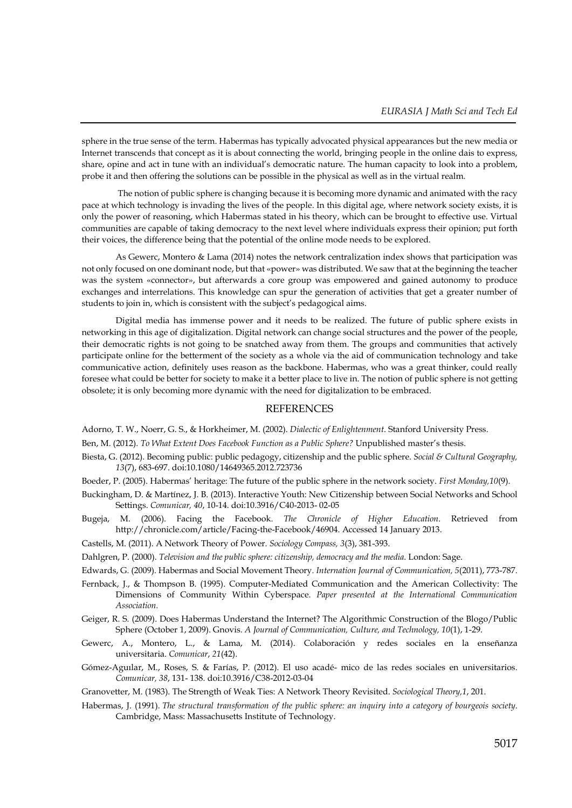sphere in the true sense of the term. Habermas has typically advocated physical appearances but the new media or Internet transcends that concept as it is about connecting the world, bringing people in the online dais to express, share, opine and act in tune with an individual's democratic nature. The human capacity to look into a problem, probe it and then offering the solutions can be possible in the physical as well as in the virtual realm.

The notion of public sphere is changing because it is becoming more dynamic and animated with the racy pace at which technology is invading the lives of the people. In this digital age, where network society exists, it is only the power of reasoning, which Habermas stated in his theory, which can be brought to effective use. Virtual communities are capable of taking democracy to the next level where individuals express their opinion; put forth their voices, the difference being that the potential of the online mode needs to be explored.

As Gewerc, Montero & Lama (2014) notes the network centralization index shows that participation was not only focused on one dominant node, but that «power» was distributed. We saw that at the beginning the teacher was the system «connector», but afterwards a core group was empowered and gained autonomy to produce exchanges and interrelations. This knowledge can spur the generation of activities that get a greater number of students to join in, which is consistent with the subject's pedagogical aims.

Digital media has immense power and it needs to be realized. The future of public sphere exists in networking in this age of digitalization. Digital network can change social structures and the power of the people, their democratic rights is not going to be snatched away from them. The groups and communities that actively participate online for the betterment of the society as a whole via the aid of communication technology and take communicative action, definitely uses reason as the backbone. Habermas, who was a great thinker, could really foresee what could be better for society to make it a better place to live in. The notion of public sphere is not getting obsolete; it is only becoming more dynamic with the need for digitalization to be embraced.

#### **REFERENCES**

Adorno, T. W., Noerr, G. S., & Horkheimer, M. (2002). *Dialectic of Enlightenment*. Stanford University Press.

Ben, M. (2012). *To What Extent Does Facebook Function as a Public Sphere?* Unpublished master's thesis.

- Biesta, G. (2012). Becoming public: public pedagogy, citizenship and the public sphere. *Social & Cultural Geography, 13*(7), 683-697. doi:10.1080/14649365.2012.723736
- Boeder, P. (2005). Habermas' heritage: The future of the public sphere in the network society. *First Monday,10*(9).
- Buckingham, D. & Martínez, J. B. (2013). Interactive Youth: New Citizenship between Social Networks and School Settings. *Comunicar, 40*, 10-14. doi:10.3916/C40-2013- 02-05
- Bugeja, M. (2006). Facing the Facebook. *The Chronicle of Higher Education*. Retrieved from http://chronicle.com/article/Facing-the-Facebook/46904. Accessed 14 January 2013.
- Castells, M. (2011). A Network Theory of Power. *Sociology Compass, 3*(3), 381-393.
- Dahlgren, P. (2000). *Television and the public sphere: citizenship, democracy and the media*. London: Sage.
- Edwards, G. (2009). Habermas and Social Movement Theory. *Internation Journal of Communication, 5*(2011), 773-787.
- Fernback, J., & Thompson B. (1995). Computer-Mediated Communication and the American Collectivity: The Dimensions of Community Within Cyberspace. *Paper presented at the International Communication Association.*
- Geiger, R. S. (2009). Does Habermas Understand the Internet? The Algorithmic Construction of the Blogo/Public Sphere (October 1, 2009). Gnovis. *A Journal of Communication, Culture, and Technology, 10*(1), 1-29.
- Gewerc, A., Montero, L., & Lama, M. (2014). Colaboración y redes sociales en la enseñanza universitaria. *Comunicar*, *21*(42).
- Gómez-Aguılar, M., Roses, S. & Farías, P. (2012). El uso acadé- mico de las redes sociales en universitarios. *Comunicar, 38*, 131- 138. doi:10.3916/C38-2012-03-04
- Granovetter, M. (1983). The Strength of Weak Ties: A Network Theory Revisited. *Sociological Theory,1*, 201.
- Habermas, J. (1991). *The structural transformation of the public sphere: an inquiry into a category of bourgeois society*. Cambridge, Mass: Massachusetts Institute of Technology.